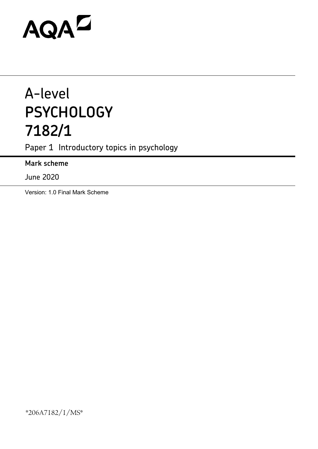# AQAZ

# A-level **PSYCHOLOGY 7182/1**

Paper 1 Introductory topics in psychology

**Mark scheme**

June 2020

Version: 1.0 Final Mark Scheme

\*206A7182/1/MS\*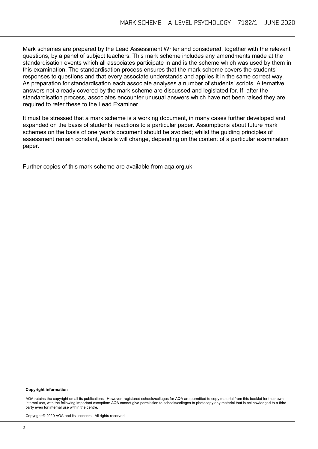Mark schemes are prepared by the Lead Assessment Writer and considered, together with the relevant questions, by a panel of subject teachers. This mark scheme includes any amendments made at the standardisation events which all associates participate in and is the scheme which was used by them in this examination. The standardisation process ensures that the mark scheme covers the students' responses to questions and that every associate understands and applies it in the same correct way. As preparation for standardisation each associate analyses a number of students' scripts. Alternative answers not already covered by the mark scheme are discussed and legislated for. If, after the standardisation process, associates encounter unusual answers which have not been raised they are required to refer these to the Lead Examiner.

It must be stressed that a mark scheme is a working document, in many cases further developed and expanded on the basis of students' reactions to a particular paper. Assumptions about future mark schemes on the basis of one year's document should be avoided; whilst the guiding principles of assessment remain constant, details will change, depending on the content of a particular examination paper.

Further copies of this mark scheme are available from aqa.org.uk.

#### **Copyright information**

AQA retains the copyright on all its publications. However, registered schools/colleges for AQA are permitted to copy material from this booklet for their own internal use, with the following important exception: AQA cannot give permission to schools/colleges to photocopy any material that is acknowledged to a third party even for internal use within the centre.

Copyright © 2020 AQA and its licensors. All rights reserved.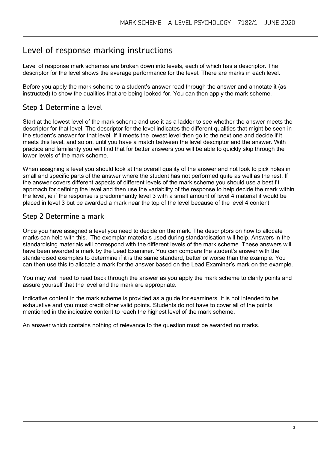# Level of response marking instructions

Level of response mark schemes are broken down into levels, each of which has a descriptor. The descriptor for the level shows the average performance for the level. There are marks in each level.

Before you apply the mark scheme to a student's answer read through the answer and annotate it (as instructed) to show the qualities that are being looked for. You can then apply the mark scheme.

# Step 1 Determine a level

Start at the lowest level of the mark scheme and use it as a ladder to see whether the answer meets the descriptor for that level. The descriptor for the level indicates the different qualities that might be seen in the student's answer for that level. If it meets the lowest level then go to the next one and decide if it meets this level, and so on, until you have a match between the level descriptor and the answer. With practice and familiarity you will find that for better answers you will be able to quickly skip through the lower levels of the mark scheme.

When assigning a level you should look at the overall quality of the answer and not look to pick holes in small and specific parts of the answer where the student has not performed quite as well as the rest. If the answer covers different aspects of different levels of the mark scheme you should use a best fit approach for defining the level and then use the variability of the response to help decide the mark within the level, ie if the response is predominantly level 3 with a small amount of level 4 material it would be placed in level 3 but be awarded a mark near the top of the level because of the level 4 content.

# Step 2 Determine a mark

Once you have assigned a level you need to decide on the mark. The descriptors on how to allocate marks can help with this. The exemplar materials used during standardisation will help. Answers in the standardising materials will correspond with the different levels of the mark scheme. These answers will have been awarded a mark by the Lead Examiner. You can compare the student's answer with the standardised examples to determine if it is the same standard, better or worse than the example. You can then use this to allocate a mark for the answer based on the Lead Examiner's mark on the example.

You may well need to read back through the answer as you apply the mark scheme to clarify points and assure yourself that the level and the mark are appropriate.

Indicative content in the mark scheme is provided as a guide for examiners. It is not intended to be exhaustive and you must credit other valid points. Students do not have to cover all of the points mentioned in the indicative content to reach the highest level of the mark scheme.

An answer which contains nothing of relevance to the question must be awarded no marks.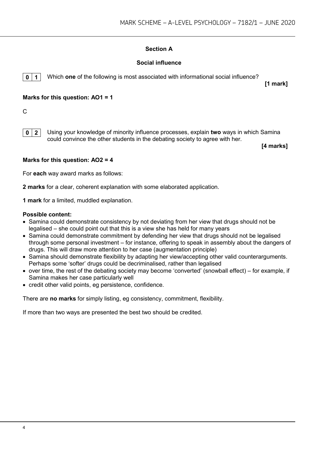# **Section A**

## **Social influence**

**0 1** Which **one** of the following is most associated with informational social influence?

**[1 mark]**

#### **Marks for this question: AO1 = 1**

 $\mathcal{C}$ 

**0 2** Using your knowledge of minority influence processes, explain **two** ways in which Samina could convince the other students in the debating society to agree with her.

**[4 marks]**

#### **Marks for this question: AO2 = 4**

For **each** way award marks as follows:

**2 marks** for a clear, coherent explanation with some elaborated application.

**1 mark** for a limited, muddled explanation.

#### **Possible content:**

- Samina could demonstrate consistency by not deviating from her view that drugs should not be legalised – she could point out that this is a view she has held for many years
- Samina could demonstrate commitment by defending her view that drugs should not be legalised through some personal investment – for instance, offering to speak in assembly about the dangers of drugs. This will draw more attention to her case (augmentation principle)
- Samina should demonstrate flexibility by adapting her view/accepting other valid counterarguments. Perhaps some 'softer' drugs could be decriminalised, rather than legalised
- over time, the rest of the debating society may become 'converted' (snowball effect) for example, if Samina makes her case particularly well
- credit other valid points, eg persistence, confidence.

There are **no marks** for simply listing, eg consistency, commitment, flexibility.

If more than two ways are presented the best two should be credited.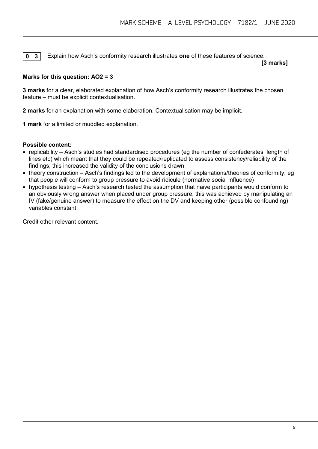**0 3** Explain how Asch's conformity research illustrates one of these features of science.

**[3 marks]**

# **Marks for this question: AO2 = 3**

**3 marks** for a clear, elaborated explanation of how Asch's conformity research illustrates the chosen feature – must be explicit contextualisation.

**2 marks** for an explanation with some elaboration. Contextualisation may be implicit.

**1 mark** for a limited or muddled explanation.

#### **Possible content:**

- replicability Asch's studies had standardised procedures (eg the number of confederates; length of lines etc) which meant that they could be repeated/replicated to assess consistency/reliability of the findings; this increased the validity of the conclusions drawn
- theory construction Asch's findings led to the development of explanations/theories of conformity, eg that people will conform to group pressure to avoid ridicule (normative social influence)
- hypothesis testing Asch's research tested the assumption that naive participants would conform to an obviously wrong answer when placed under group pressure; this was achieved by manipulating an IV (fake/genuine answer) to measure the effect on the DV and keeping other (possible confounding) variables constant.

Credit other relevant content.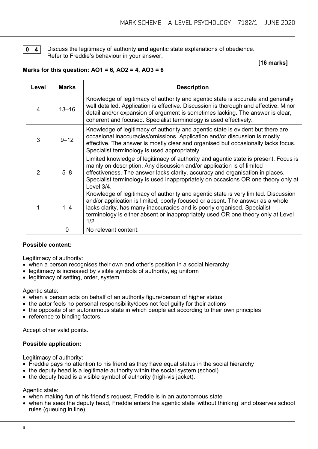**0 4** Discuss the legitimacy of authority **and** agentic state explanations of obedience. Refer to Freddie's behaviour in your answer.

#### **[16 marks]**

#### **Marks for this question: AO1 = 6, AO2 = 4, AO3 = 6**

| Level          | <b>Marks</b> | <b>Description</b>                                                                                                                                                                                                                                                                                                                                |
|----------------|--------------|---------------------------------------------------------------------------------------------------------------------------------------------------------------------------------------------------------------------------------------------------------------------------------------------------------------------------------------------------|
| 4              | $13 - 16$    | Knowledge of legitimacy of authority and agentic state is accurate and generally<br>well detailed. Application is effective. Discussion is thorough and effective. Minor<br>detail and/or expansion of argument is sometimes lacking. The answer is clear,<br>coherent and focused. Specialist terminology is used effectively.                   |
| 3              | $9 - 12$     | Knowledge of legitimacy of authority and agentic state is evident but there are<br>occasional inaccuracies/omissions. Application and/or discussion is mostly<br>effective. The answer is mostly clear and organised but occasionally lacks focus.<br>Specialist terminology is used appropriately.                                               |
| $\mathfrak{D}$ | $5 - 8$      | Limited knowledge of legitimacy of authority and agentic state is present. Focus is<br>mainly on description. Any discussion and/or application is of limited<br>effectiveness. The answer lacks clarity, accuracy and organisation in places.<br>Specialist terminology is used inappropriately on occasions OR one theory only at<br>Level 3/4. |
|                | $1 - 4$      | Knowledge of legitimacy of authority and agentic state is very limited. Discussion<br>and/or application is limited, poorly focused or absent. The answer as a whole<br>lacks clarity, has many inaccuracies and is poorly organised. Specialist<br>terminology is either absent or inappropriately used OR one theory only at Level<br>1/2.      |
|                | 0            | No relevant content.                                                                                                                                                                                                                                                                                                                              |

#### **Possible content:**

Legitimacy of authority:

- when a person recognises their own and other's position in a social hierarchy
- legitimacy is increased by visible symbols of authority, eg uniform
- legitimacy of setting, order, system.

#### Agentic state:

- when a person acts on behalf of an authority figure/person of higher status
- the actor feels no personal responsibility/does not feel guilty for their actions
- the opposite of an autonomous state in which people act according to their own principles
- reference to binding factors.

Accept other valid points.

#### **Possible application:**

Legitimacy of authority:

- Freddie pays no attention to his friend as they have equal status in the social hierarchy
- the deputy head is a legitimate authority within the social system (school)
- the deputy head is a visible symbol of authority (high-vis jacket).

#### Agentic state:

- when making fun of his friend's request, Freddie is in an autonomous state
- when he sees the deputy head, Freddie enters the agentic state 'without thinking' and observes school rules (queuing in line).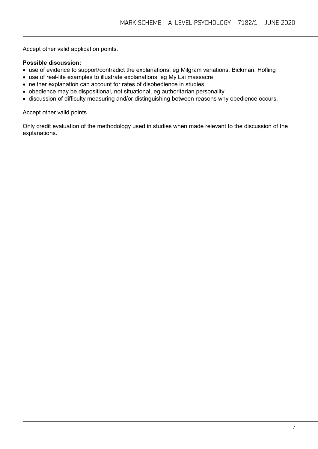Accept other valid application points.

# **Possible discussion:**

- use of evidence to support/contradict the explanations, eg Milgram variations, Bickman, Hofling
- use of real-life examples to illustrate explanations, eg My Lai massacre
- neither explanation can account for rates of disobedience in studies
- obedience may be dispositional, not situational, eg authoritarian personality
- discussion of difficulty measuring and/or distinguishing between reasons why obedience occurs.

Accept other valid points.

Only credit evaluation of the methodology used in studies when made relevant to the discussion of the explanations.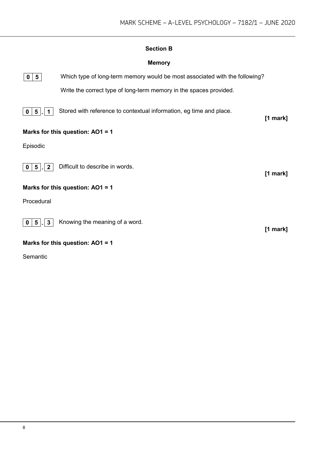# **Section B**

# **Memory**



**0 5** Which type of long-term memory would be most associated with the following? Write the correct type of long-term memory in the spaces provided.

**0 5 1** Stored with reference to contextual information, eg time and place.

# **Marks for this question: AO1 = 1**

Episodic



**0 5 . 2** Difficult to describe in words.

# **Marks for this question: AO1 = 1**

Procedural



**0 5 . 3** Knowing the meaning of a word.

**[1 mark]**

**[1 mark]**

**[1 mark]**

#### **Marks for this question: AO1 = 1**

Semantic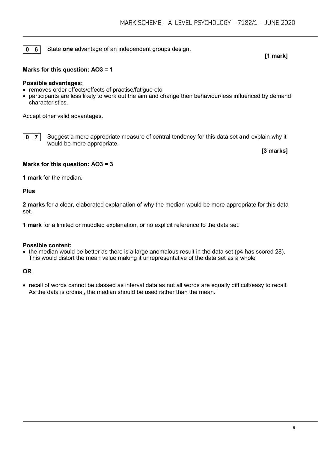**0 6** State **one** advantage of an independent groups design.

#### **[1 mark]**

#### **Marks for this question: AO3 = 1**

#### **Possible advantages:**

- removes order effects/effects of practise/fatique etc
- participants are less likely to work out the aim and change their behaviour/less influenced by demand characteristics.

Accept other valid advantages.



**0** | **7** | Suggest a more appropriate measure of central tendency for this data set **and** explain why it would be more appropriate.

**[3 marks]**

#### **Marks for this question: AO3 = 3**

**1 mark** for the median.

#### **Plus**

**2 marks** for a clear, elaborated explanation of why the median would be more appropriate for this data set.

**1 mark** for a limited or muddled explanation, or no explicit reference to the data set.

#### **Possible content:**

• the median would be better as there is a large anomalous result in the data set (p4 has scored 28). This would distort the mean value making it unrepresentative of the data set as a whole

#### **OR**

• recall of words cannot be classed as interval data as not all words are equally difficult/easy to recall. As the data is ordinal, the median should be used rather than the mean.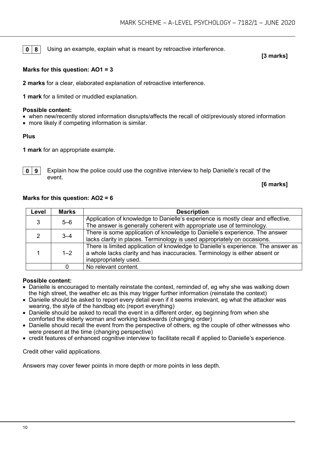**0** 8 Using an example, explain what is meant by retroactive interference.

#### **[3 marks]**

#### **Marks for this question: AO1 = 3**

**2 marks** for a clear, elaborated explanation of retroactive interference.

**1 mark** for a limited or muddled explanation.

#### **Possible content:**

- when new/recently stored information disrupts/affects the recall of old/previously stored information
- more likely if competing information is similar.

#### **Plus**

**1 mark** for an appropriate example.



**0** | **9** | Explain how the police could use the cognitive interview to help Danielle's recall of the event.

**[6 marks]**

#### **Marks for this question: AO2 = 6**

| Level | <b>Marks</b> | <b>Description</b>                                                                                                                                                                        |
|-------|--------------|-------------------------------------------------------------------------------------------------------------------------------------------------------------------------------------------|
| 3     | $5-6$        | Application of knowledge to Danielle's experience is mostly clear and effective.<br>The answer is generally coherent with appropriate use of terminology.                                 |
|       | $3 - 4$      | There is some application of knowledge to Danielle's experience. The answer<br>lacks clarity in places. Terminology is used appropriately on occasions.                                   |
|       | $1 - 2$      | There is limited application of knowledge to Danielle's experience. The answer as<br>a whole lacks clarity and has inaccuracies. Terminology is either absent or<br>inappropriately used. |
|       |              | No relevant content.                                                                                                                                                                      |

#### **Possible content:**

- Danielle is encouraged to mentally reinstate the context, reminded of, eg why she was walking down the high street, the weather etc as this may trigger further information (reinstate the context)
- Danielle should be asked to report every detail even if it seems irrelevant, eg what the attacker was wearing, the style of the handbag etc (report everything)
- Danielle should be asked to recall the event in a different order, eg beginning from when she comforted the elderly woman and working backwards (changing order)
- Danielle should recall the event from the perspective of others, eg the couple of other witnesses who were present at the time (changing perspective)
- credit features of enhanced cognitive interview to facilitate recall if applied to Danielle's experience.

Credit other valid applications.

Answers may cover fewer points in more depth or more points in less depth.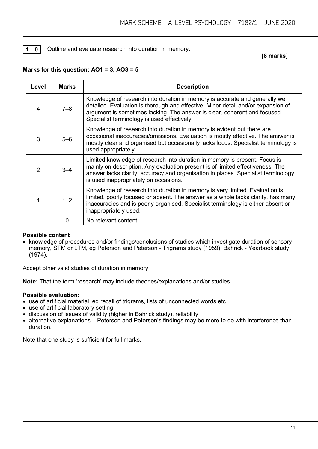#### **1 0** Outline and evaluate research into duration in memory.

**[8 marks]**

| Level          | <b>Marks</b> | <b>Description</b>                                                                                                                                                                                                                                                                           |
|----------------|--------------|----------------------------------------------------------------------------------------------------------------------------------------------------------------------------------------------------------------------------------------------------------------------------------------------|
| 4              | $7 - 8$      | Knowledge of research into duration in memory is accurate and generally well<br>detailed. Evaluation is thorough and effective. Minor detail and/or expansion of<br>argument is sometimes lacking. The answer is clear, coherent and focused.<br>Specialist terminology is used effectively. |
| 3              | $5 - 6$      | Knowledge of research into duration in memory is evident but there are<br>occasional inaccuracies/omissions. Evaluation is mostly effective. The answer is<br>mostly clear and organised but occasionally lacks focus. Specialist terminology is<br>used appropriately.                      |
| $\mathfrak{D}$ | $3 - 4$      | Limited knowledge of research into duration in memory is present. Focus is<br>mainly on description. Any evaluation present is of limited effectiveness. The<br>answer lacks clarity, accuracy and organisation in places. Specialist terminology<br>is used inappropriately on occasions.   |
|                | $1 - 2$      | Knowledge of research into duration in memory is very limited. Evaluation is<br>limited, poorly focused or absent. The answer as a whole lacks clarity, has many<br>inaccuracies and is poorly organised. Specialist terminology is either absent or<br>inappropriately used.                |
|                | 0            | No relevant content.                                                                                                                                                                                                                                                                         |

#### **Marks for this question: AO1 = 3, AO3 = 5**

#### **Possible content**

• knowledge of procedures and/or findings/conclusions of studies which investigate duration of sensory memory, STM or LTM, eg Peterson and Peterson - Trigrams study (1959), Bahrick - Yearbook study (1974).

Accept other valid studies of duration in memory.

**Note:** That the term 'research' may include theories/explanations and/or studies.

#### **Possible evaluation:**

- use of artificial material, eg recall of trigrams, lists of unconnected words etc
- use of artificial laboratory setting
- discussion of issues of validity (higher in Bahrick study), reliability
- alternative explanations Peterson and Peterson's findings may be more to do with interference than duration.

Note that one study is sufficient for full marks.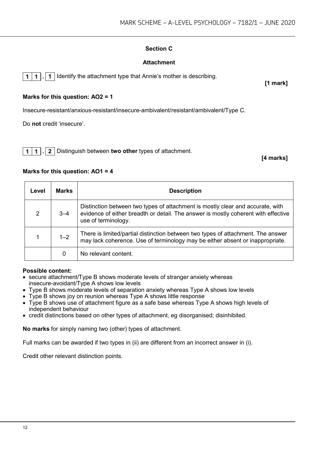# **Section C**

# **Attachment**

**1 1 . 1** Identify the attachment type that Annie's mother is describing.

# **Marks for this question: AO2 = 1**

Insecure-resistant/anxious-resistant/insecure-ambivalent/resistant/ambivalent/Type C.

Do **not** credit 'insecure'.

**1 1 . 2** Distinguish between **two other** types of attachment.

**[4 marks]**

# **Marks for this question: AO1 = 4**

| Level | <b>Marks</b> | <b>Description</b>                                                                                                                                                                          |
|-------|--------------|---------------------------------------------------------------------------------------------------------------------------------------------------------------------------------------------|
| 2     | $3 - 4$      | Distinction between two types of attachment is mostly clear and accurate, with<br>evidence of either breadth or detail. The answer is mostly coherent with effective<br>use of terminology. |
|       | $1 - 2$      | There is limited/partial distinction between two types of attachment. The answer<br>may lack coherence. Use of terminology may be either absent or inappropriate.                           |
|       | 0            | No relevant content.                                                                                                                                                                        |

# **Possible content:**

- secure attachment/Type B shows moderate levels of stranger anxiety whereas insecure-avoidant/Type A shows low levels
- Type B shows moderate levels of separation anxiety whereas Type A shows low levels
- Type B shows joy on reunion whereas Type A shows little response
- Type B shows use of attachment figure as a safe base whereas Type A shows high levels of independent behaviour
- credit distinctions based on other types of attachment, eg disorganised; disinhibited.

**No marks** for simply naming two (other) types of attachment.

Full marks can be awarded if two types in (ii) are different from an incorrect answer in (i).

Credit other relevant distinction points.

**[1 mark]**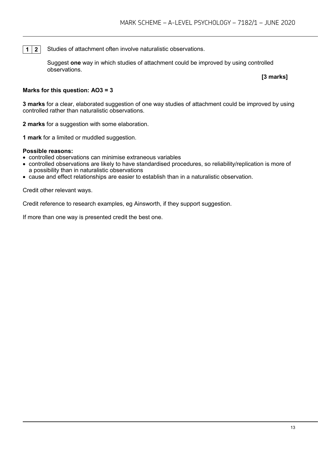**1 2** Studies of attachment often involve naturalistic observations.

Suggest **one** way in which studies of attachment could be improved by using controlled observations.

**[3 marks]**

#### **Marks for this question: AO3 = 3**

**3 marks** for a clear, elaborated suggestion of one way studies of attachment could be improved by using controlled rather than naturalistic observations.

**2 marks** for a suggestion with some elaboration.

**1 mark** for a limited or muddled suggestion.

#### **Possible reasons:**

- controlled observations can minimise extraneous variables
- controlled observations are likely to have standardised procedures, so reliability/replication is more of a possibility than in naturalistic observations
- cause and effect relationships are easier to establish than in a naturalistic observation.

Credit other relevant ways.

Credit reference to research examples, eg Ainsworth, if they support suggestion.

If more than one way is presented credit the best one.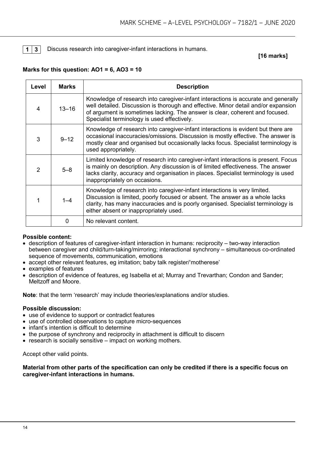#### **1 3** Discuss research into caregiver-infant interactions in humans.

#### **[16 marks]**

#### **Marks for this question: AO1 = 6, AO3 = 10**

| Level | <b>Marks</b> | <b>Description</b>                                                                                                                                                                                                                                                                                      |
|-------|--------------|---------------------------------------------------------------------------------------------------------------------------------------------------------------------------------------------------------------------------------------------------------------------------------------------------------|
| 4     | $13 - 16$    | Knowledge of research into caregiver-infant interactions is accurate and generally<br>well detailed. Discussion is thorough and effective. Minor detail and/or expansion<br>of argument is sometimes lacking. The answer is clear, coherent and focused.<br>Specialist terminology is used effectively. |
| 3     | $9 - 12$     | Knowledge of research into caregiver-infant interactions is evident but there are<br>occasional inaccuracies/omissions. Discussion is mostly effective. The answer is<br>mostly clear and organised but occasionally lacks focus. Specialist terminology is<br>used appropriately.                      |
| 2     | $5 - 8$      | Limited knowledge of research into caregiver-infant interactions is present. Focus<br>is mainly on description. Any discussion is of limited effectiveness. The answer<br>lacks clarity, accuracy and organisation in places. Specialist terminology is used<br>inappropriately on occasions.           |
|       | $1 - 4$      | Knowledge of research into caregiver-infant interactions is very limited.<br>Discussion is limited, poorly focused or absent. The answer as a whole lacks<br>clarity, has many inaccuracies and is poorly organised. Specialist terminology is<br>either absent or inappropriately used.                |
|       | O            | No relevant content.                                                                                                                                                                                                                                                                                    |

#### **Possible content:**

- description of features of caregiver-infant interaction in humans: reciprocity two-way interaction between caregiver and child/turn-taking/mirroring; interactional synchrony – simultaneous co-ordinated sequence of movements, communication, emotions
- accept other relevant features, eg imitation; baby talk register/'motherese'
- examples of features
- description of evidence of features, eg Isabella et al; Murray and Trevarthan; Condon and Sander; Meltzoff and Moore.

**Note**: that the term 'research' may include theories/explanations and/or studies.

#### **Possible discussion:**

- use of evidence to support or contradict features
- use of controlled observations to capture micro-sequences
- infant's intention is difficult to determine
- the purpose of synchrony and reciprocity in attachment is difficult to discern
- research is socially sensitive impact on working mothers.

Accept other valid points.

**Material from other parts of the specification can only be credited if there is a specific focus on caregiver-infant interactions in humans.**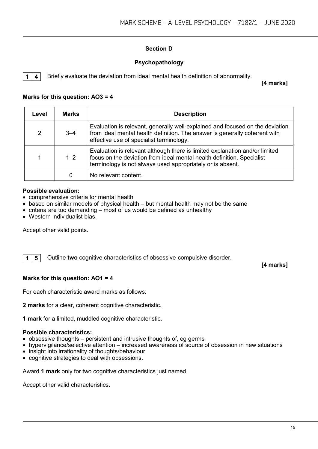# **Section D**

## **Psychopathology**

**1 4** Briefly evaluate the deviation from ideal mental health definition of abnormality.

**[4 marks]**

#### **Marks for this question: AO3 = 4**

| Level          | <b>Marks</b> | <b>Description</b>                                                                                                                                                                                                  |
|----------------|--------------|---------------------------------------------------------------------------------------------------------------------------------------------------------------------------------------------------------------------|
| $\overline{2}$ | $3 - 4$      | Evaluation is relevant, generally well-explained and focused on the deviation<br>from ideal mental health definition. The answer is generally coherent with<br>effective use of specialist terminology.             |
| 1              | $1 - 2$      | Evaluation is relevant although there is limited explanation and/or limited<br>focus on the deviation from ideal mental health definition. Specialist<br>terminology is not always used appropriately or is absent. |
|                |              | No relevant content.                                                                                                                                                                                                |

#### **Possible evaluation:**

- comprehensive criteria for mental health
- based on similar models of physical health but mental health may not be the same
- criteria are too demanding most of us would be defined as unhealthy
- Western individualist bias.

Accept other valid points.

**1 5** Outline **two** cognitive characteristics of obsessive-compulsive disorder.

**[4 marks]**

#### **Marks for this question: AO1 = 4**

For each characteristic award marks as follows:

**2 marks** for a clear, coherent cognitive characteristic.

**1 mark** for a limited, muddled cognitive characteristic.

#### **Possible characteristics:**

- obsessive thoughts persistent and intrusive thoughts of, eg germs
- hypervigilance/selective attention increased awareness of source of obsession in new situations
- insight into irrationality of thoughts/behaviour
- cognitive strategies to deal with obsessions.

Award **1 mark** only for two cognitive characteristics just named.

Accept other valid characteristics.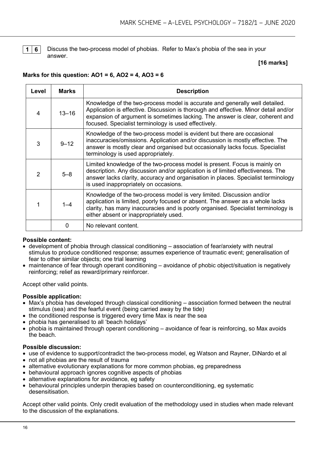

**1 6** Discuss the two-process model of phobias. Refer to Max's phobia of the sea in your answer.

#### **[16 marks]**

#### **Marks for this question: AO1 = 6, AO2 = 4, AO3 = 6**

| Level | <b>Marks</b> | <b>Description</b>                                                                                                                                                                                                                                                                                          |
|-------|--------------|-------------------------------------------------------------------------------------------------------------------------------------------------------------------------------------------------------------------------------------------------------------------------------------------------------------|
| 4     | $13 - 16$    | Knowledge of the two-process model is accurate and generally well detailed.<br>Application is effective. Discussion is thorough and effective. Minor detail and/or<br>expansion of argument is sometimes lacking. The answer is clear, coherent and<br>focused. Specialist terminology is used effectively. |
| 3     | $9 - 12$     | Knowledge of the two-process model is evident but there are occasional<br>inaccuracies/omissions. Application and/or discussion is mostly effective. The<br>answer is mostly clear and organised but occasionally lacks focus. Specialist<br>terminology is used appropriately.                             |
| 2     | $5 - 8$      | Limited knowledge of the two-process model is present. Focus is mainly on<br>description. Any discussion and/or application is of limited effectiveness. The<br>answer lacks clarity, accuracy and organisation in places. Specialist terminology<br>is used inappropriately on occasions.                  |
|       | $1 - 4$      | Knowledge of the two-process model is very limited. Discussion and/or<br>application is limited, poorly focused or absent. The answer as a whole lacks<br>clarity, has many inaccuracies and is poorly organised. Specialist terminology is<br>either absent or inappropriately used.                       |
|       | 0            | No relevant content.                                                                                                                                                                                                                                                                                        |

#### **Possible content:**

- development of phobia through classical conditioning association of fear/anxiety with neutral stimulus to produce conditioned response; assumes experience of traumatic event; generalisation of fear to other similar objects; one trial learning
- maintenance of fear through operant conditioning avoidance of phobic object/situation is negatively reinforcing; relief as reward/primary reinforcer.

Accept other valid points.

#### **Possible application:**

- Max's phobia has developed through classical conditioning association formed between the neutral stimulus (sea) and the fearful event (being carried away by the tide)
- the conditioned response is triggered every time Max is near the sea
- phobia has generalised to all 'beach holidays'
- phobia is maintained through operant conditioning avoidance of fear is reinforcing, so Max avoids the beach.

#### **Possible discussion:**

- use of evidence to support/contradict the two-process model, eg Watson and Rayner, DiNardo et al
- not all phobias are the result of trauma
- alternative evolutionary explanations for more common phobias, eg preparedness
- behavioural approach ignores cognitive aspects of phobias
- alternative explanations for avoidance, eg safety
- behavioural principles underpin therapies based on counterconditioning, eg systematic desensitisation.

Accept other valid points. Only credit evaluation of the methodology used in studies when made relevant to the discussion of the explanations.